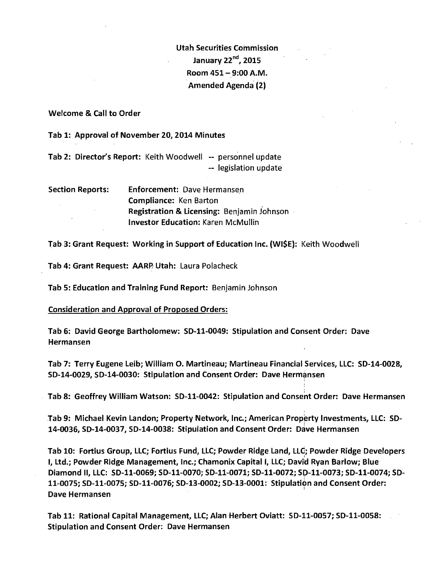Utah Securities Commission January 22"d, 2015 Room 451- 9:00A.M. Amended Agenda (2)

Welcome & Call to Order

Tab 1: Approval of November 20, 2014 Minutes

Tab 2: Director's Report: Keith Woodwell -- personnel update -- legislation update

| <b>Section Reports:</b> | <b>Enforcement: Dave Hermansen</b>         |
|-------------------------|--------------------------------------------|
|                         | <b>Compliance: Ken Barton</b>              |
|                         | Registration & Licensing: Benjamin Johnson |
|                         | <b>Investor Education: Karen McMullin</b>  |

Tab 3: Grant Request: Working in Support of Education Inc. (WISE): Keith Woodwell

Tab 4: Grant Request: AARP Utah: Laura Polacheck

Tab 5: Education and Training Fund Report: Benjamin Johnson

Consideration and Approval of Proposed Orders:

Tab 6: David George Bartholomew: SD-11-0049: Stipulation and Consent Order: Dave Hermansen

Tab 7: Terry Eugene Leib; William 0. Martineau; Martineau Financial Services, LLC: SD-14-0028, SD-14-0029, SD-14-0030: Stipulation and Consent Order: Dave Hermansen

Tab 8: Geoffrey William Watson: SD-11-0042: Stipulation and Consent Order: Dave Hermansen

'

Tab 9: Michael Kevin Landon; Property Network, Inc.; American Property Investments, LLC: SD-14-0036, SD-14-0037, SD-14-0038: Stipulation and Consent Order: Dave Hermansen

Tab 10: Fortius Group, LLC; Fortius Fund, LLC; Powder Ridge Land, LLC; Powder Ridge Developers I, Ltd.; Powder Ridge Management, Inc.; Chamonix Capital I, LLC; David Ryan Barlow; Blue Diamond II, LLC: SD-11-0069; SD-11-0070; SD-11-0071; SD-11-0072; Sp-11-0073; SD-11-0074; SD-11-0075; SD-11-0075; SD-11-0076; SD-13-0002; SD-13-0001: Stipulation and Consent Order: Dave Hermansen

Tab 11: Rational Capital Management, LLC; Alan Herbert Oviatt: SD-11-0057; SD-11-0058: Stipulation and Consent Order: Dave Hermansen